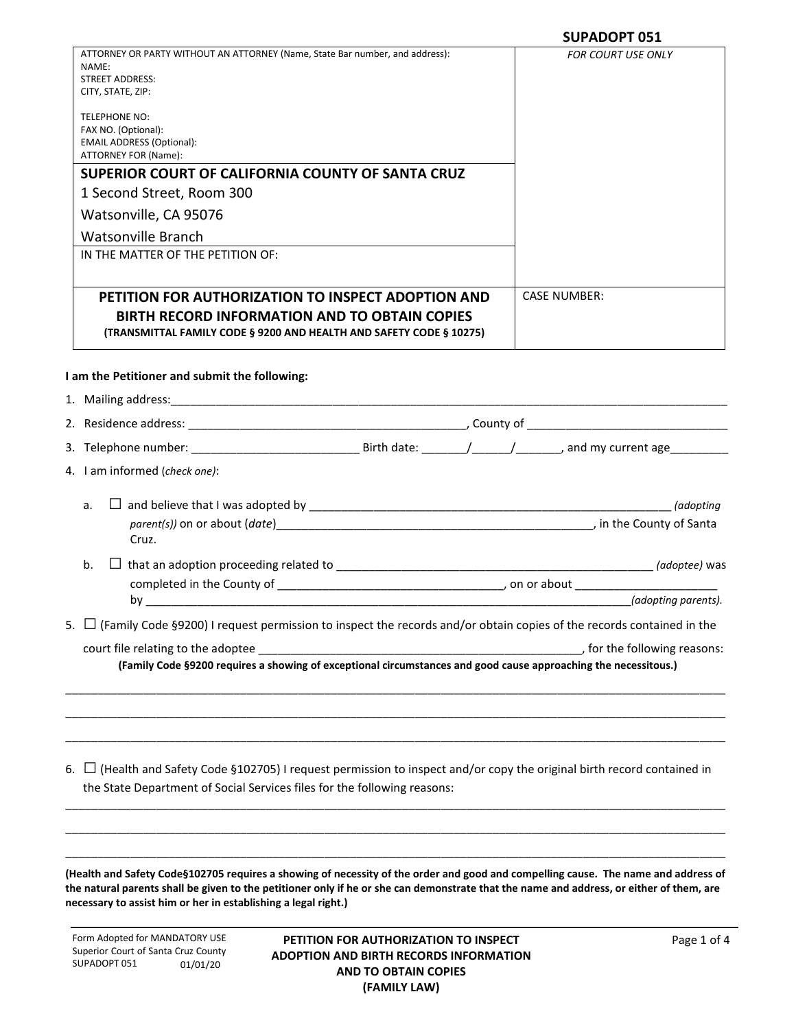|                                                                                                                                                                                                           | <b>SUPADOPT 051</b>          |
|-----------------------------------------------------------------------------------------------------------------------------------------------------------------------------------------------------------|------------------------------|
| ATTORNEY OR PARTY WITHOUT AN ATTORNEY (Name, State Bar number, and address):<br>NAME:<br><b>STREET ADDRESS:</b><br>CITY, STATE, ZIP:                                                                      | <b>FOR COURT USE ONLY</b>    |
| TELEPHONE NO:<br>FAX NO. (Optional):<br><b>EMAIL ADDRESS (Optional):</b><br>ATTORNEY FOR (Name):                                                                                                          |                              |
| SUPERIOR COURT OF CALIFORNIA COUNTY OF SANTA CRUZ                                                                                                                                                         |                              |
| 1 Second Street, Room 300                                                                                                                                                                                 |                              |
| Watsonville, CA 95076                                                                                                                                                                                     |                              |
| <b>Watsonville Branch</b>                                                                                                                                                                                 |                              |
| IN THE MATTER OF THE PETITION OF:                                                                                                                                                                         |                              |
| PETITION FOR AUTHORIZATION TO INSPECT ADOPTION AND<br><b>BIRTH RECORD INFORMATION AND TO OBTAIN COPIES</b><br>(TRANSMITTAL FAMILY CODE § 9200 AND HEALTH AND SAFETY CODE § 10275)                         | <b>CASE NUMBER:</b>          |
| I am the Petitioner and submit the following:                                                                                                                                                             |                              |
|                                                                                                                                                                                                           |                              |
|                                                                                                                                                                                                           |                              |
|                                                                                                                                                                                                           |                              |
| 4. I am informed (check one):                                                                                                                                                                             |                              |
| a.                                                                                                                                                                                                        |                              |
| Cruz.                                                                                                                                                                                                     |                              |
| b.                                                                                                                                                                                                        |                              |
|                                                                                                                                                                                                           |                              |
|                                                                                                                                                                                                           | (adopting parents).          |
| 5. $\Box$ (Family Code §9200) I request permission to inspect the records and/or obtain copies of the records contained in the                                                                            |                              |
| (Family Code §9200 requires a showing of exceptional circumstances and good cause approaching the necessitous.)                                                                                           | , for the following reasons: |
|                                                                                                                                                                                                           |                              |
| 6. $\Box$ (Health and Safety Code §102705) I request permission to inspect and/or copy the original birth record contained in<br>the State Department of Social Services files for the following reasons: |                              |
|                                                                                                                                                                                                           |                              |

**(Health and Safety Code§102705 requires a showing of necessity of the order and good and compelling cause. The name and address of the natural parents shall be given to the petitioner only if he or she can demonstrate that the name and address, or either of them, are necessary to assist him or her in establishing a legal right.)**

\_\_\_\_\_\_\_\_\_\_\_\_\_\_\_\_\_\_\_\_\_\_\_\_\_\_\_\_\_\_\_\_\_\_\_\_\_\_\_\_\_\_\_\_\_\_\_\_\_\_\_\_\_\_\_\_\_\_\_\_\_\_\_\_\_\_\_\_\_\_\_\_\_\_\_\_\_\_\_\_\_\_\_\_\_\_\_\_\_\_\_\_\_\_\_\_\_\_\_\_\_\_

Form Adopted for MANDATORY USE Superior Court of Santa Cruz County SUPADOPT 051 01/01/20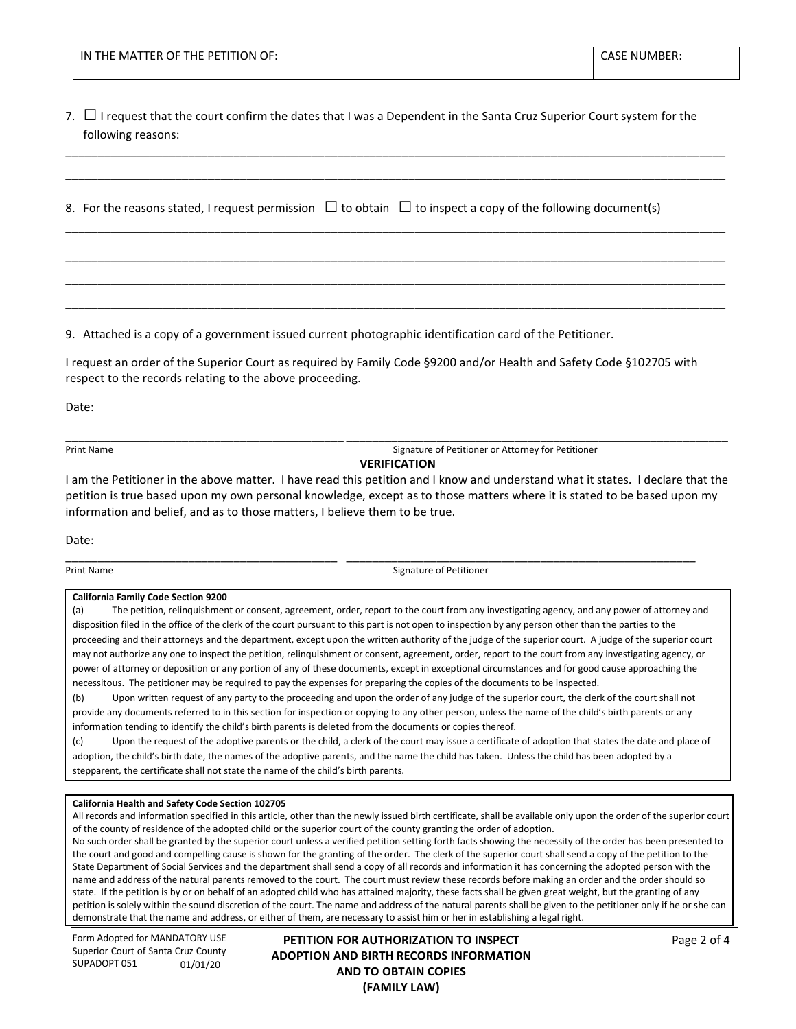| F MATTER OF THE PETITION OF:<br>IN<br>THE. | NUMBER:<br><b>CASE</b><br>חר |
|--------------------------------------------|------------------------------|
|                                            |                              |

7. □I request that the court confirm the dates that I was a Dependent in the Santa Cruz Superior Court system for the following reasons:

\_\_\_\_\_\_\_\_\_\_\_\_\_\_\_\_\_\_\_\_\_\_\_\_\_\_\_\_\_\_\_\_\_\_\_\_\_\_\_\_\_\_\_\_\_\_\_\_\_\_\_\_\_\_\_\_\_\_\_\_\_\_\_\_\_\_\_\_\_\_\_\_\_\_\_\_\_\_\_\_\_\_\_\_\_\_\_\_\_\_\_\_\_\_\_\_\_\_\_\_\_\_ \_\_\_\_\_\_\_\_\_\_\_\_\_\_\_\_\_\_\_\_\_\_\_\_\_\_\_\_\_\_\_\_\_\_\_\_\_\_\_\_\_\_\_\_\_\_\_\_\_\_\_\_\_\_\_\_\_\_\_\_\_\_\_\_\_\_\_\_\_\_\_\_\_\_\_\_\_\_\_\_\_\_\_\_\_\_\_\_\_\_\_\_\_\_\_\_\_\_\_\_\_\_

\_\_\_\_\_\_\_\_\_\_\_\_\_\_\_\_\_\_\_\_\_\_\_\_\_\_\_\_\_\_\_\_\_\_\_\_\_\_\_\_\_\_\_\_\_\_\_\_\_\_\_\_\_\_\_\_\_\_\_\_\_\_\_\_\_\_\_\_\_\_\_\_\_\_\_\_\_\_\_\_\_\_\_\_\_\_\_\_\_\_\_\_\_\_\_\_\_\_\_\_\_\_

\_\_\_\_\_\_\_\_\_\_\_\_\_\_\_\_\_\_\_\_\_\_\_\_\_\_\_\_\_\_\_\_\_\_\_\_\_\_\_\_\_\_\_\_\_\_\_\_\_\_\_\_\_\_\_\_\_\_\_\_\_\_\_\_\_\_\_\_\_\_\_\_\_\_\_\_\_\_\_\_\_\_\_\_\_\_\_\_\_\_\_\_\_\_\_\_\_\_\_\_\_\_ \_\_\_\_\_\_\_\_\_\_\_\_\_\_\_\_\_\_\_\_\_\_\_\_\_\_\_\_\_\_\_\_\_\_\_\_\_\_\_\_\_\_\_\_\_\_\_\_\_\_\_\_\_\_\_\_\_\_\_\_\_\_\_\_\_\_\_\_\_\_\_\_\_\_\_\_\_\_\_\_\_\_\_\_\_\_\_\_\_\_\_\_\_\_\_\_\_\_\_\_\_\_ \_\_\_\_\_\_\_\_\_\_\_\_\_\_\_\_\_\_\_\_\_\_\_\_\_\_\_\_\_\_\_\_\_\_\_\_\_\_\_\_\_\_\_\_\_\_\_\_\_\_\_\_\_\_\_\_\_\_\_\_\_\_\_\_\_\_\_\_\_\_\_\_\_\_\_\_\_\_\_\_\_\_\_\_\_\_\_\_\_\_\_\_\_\_\_\_\_\_\_\_\_\_

8. For the reasons stated, I request permission  $\Box$  to obtain  $\Box$  to inspect a copy of the following document(s)

9. Attached is a copy of a government issued current photographic identification card of the Petitioner.

I request an order of the Superior Court as required by Family Code §9200 and/or Health and Safety Code §102705 with respect to the records relating to the above proceeding.

Date:

Print Name **Signature of Petitioner or Attorney for Petitioner** or Attorney for Petitioner

## **VERIFICATION**

I am the Petitioner in the above matter. I have read this petition and I know and understand what it states. I declare that the petition is true based upon my own personal knowledge, except as to those matters where it is stated to be based upon my information and belief, and as to those matters, I believe them to be true.

\_\_\_\_\_\_\_\_\_\_\_\_\_\_\_\_\_\_\_\_\_\_\_\_\_\_\_\_\_\_\_\_\_\_\_\_\_\_\_\_\_\_ \_\_\_\_\_\_\_\_\_\_\_\_\_\_\_\_\_\_\_\_\_\_\_\_\_\_\_\_\_\_\_\_\_\_\_\_\_\_\_\_\_\_\_\_\_\_\_\_\_\_\_\_\_\_

\_\_\_\_\_\_\_\_\_\_\_\_\_\_\_\_\_\_\_\_\_\_\_\_\_\_\_\_\_\_\_\_\_\_\_\_\_\_\_\_\_\_\_ \_\_\_\_\_\_\_\_\_\_\_\_\_\_\_\_\_\_\_\_\_\_\_\_\_\_\_\_\_\_\_\_\_\_\_\_\_\_\_\_\_\_\_\_\_\_\_\_\_\_\_\_\_\_\_\_\_\_\_

Date:

**Print Name** Signature of Petitioner

#### **California Family Code Section 9200**

(a) The petition, relinquishment or consent, agreement, order, report to the court from any investigating agency, and any power of attorney and disposition filed in the office of the clerk of the court pursuant to this part is not open to inspection by any person other than the parties to the proceeding and their attorneys and the department, except upon the written authority of the judge of the superior court. A judge of the superior court may not authorize any one to inspect the petition, relinquishment or consent, agreement, order, report to the court from any investigating agency, or power of attorney or deposition or any portion of any of these documents, except in exceptional circumstances and for good cause approaching the necessitous. The petitioner may be required to pay the expenses for preparing the copies of the documents to be inspected.

(b) Upon written request of any party to the proceeding and upon the order of any judge of the superior court, the clerk of the court shall not provide any documents referred to in this section for inspection or copying to any other person, unless the name of the child's birth parents or any information tending to identify the child's birth parents is deleted from the documents or copies thereof.

(c) Upon the request of the adoptive parents or the child, a clerk of the court may issue a certificate of adoption that states the date and place of adoption, the child's birth date, the names of the adoptive parents, and the name the child has taken. Unless the child has been adopted by a stepparent, the certificate shall not state the name of the child's birth parents.

### **California Health and Safety Code Section 102705**

All records and information specified in this article, other than the newly issued birth certificate, shall be available only upon the order of the superior court of the county of residence of the adopted child or the superior court of the county granting the order of adoption.

No such order shall be granted by the superior court unless a verified petition setting forth facts showing the necessity of the order has been presented to the court and good and compelling cause is shown for the granting of the order. The clerk of the superior court shall send a copy of the petition to the State Department of Social Services and the department shall send a copy of all records and information it has concerning the adopted person with the name and address of the natural parents removed to the court. The court must review these records before making an order and the order should so state. If the petition is by or on behalf of an adopted child who has attained majority, these facts shall be given great weight, but the granting of any petition is solely within the sound discretion of the court. The name and address of the natural parents shall be given to the petitioner only if he or she can demonstrate that the name and address, or either of them, are necessary to assist him or her in establishing a legal right.

Form Adopted for MANDATORY USE Superior Court of Santa Cruz County SUPADOPT 051 01/01/20

**PETITION FOR AUTHORIZATION TO INSPECT ADOPTION AND BIRTH RECORDS INFORMATION AND TO OBTAIN COPIES (FAMILY LAW)**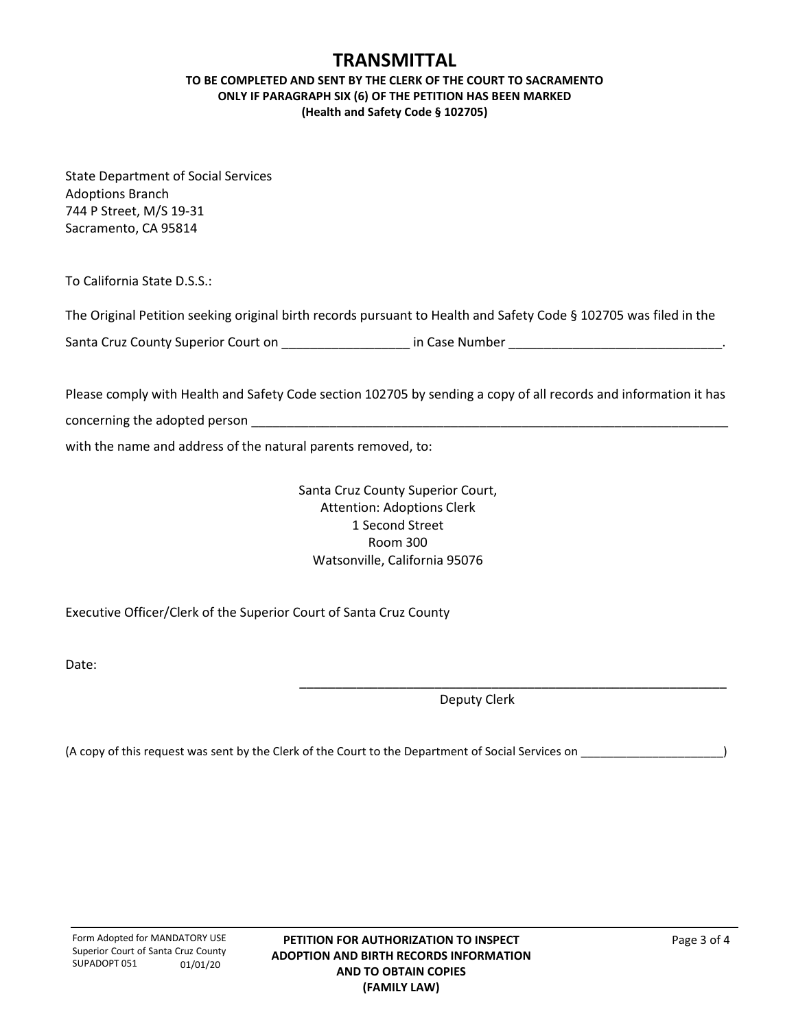# **TRANSMITTAL**

## **TO BE COMPLETED AND SENT BY THE CLERK OF THE COURT TO SACRAMENTO ONLY IF PARAGRAPH SIX (6) OF THE PETITION HAS BEEN MARKED (Health and Safety Code § 102705)**

State Department of Social Services Adoptions Branch 744 P Street, M/S 19-31 Sacramento, CA 95814

To California State D.S.S.:

The Original Petition seeking original birth records pursuant to Health and Safety Code § 102705 was filed in the

Santa Cruz County Superior Court on \_\_\_\_\_\_\_\_\_\_\_\_\_\_\_\_\_\_\_\_\_\_ in Case Number \_\_\_\_\_\_\_\_\_\_\_\_\_\_\_\_\_\_\_\_\_\_\_\_\_\_\_\_\_\_\_\_\_\_\_.

Please comply with Health and Safety Code section 102705 by sending a copy of all records and information it has concerning the adopted person **EXALL** 

with the name and address of the natural parents removed, to:

Santa Cruz County Superior Court, Attention: Adoptions Clerk 1 Second Street Room 300 Watsonville, California 95076

Executive Officer/Clerk of the Superior Court of Santa Cruz County

Date:

Deputy Clerk

\_\_\_\_\_\_\_\_\_\_\_\_\_\_\_\_\_\_\_\_\_\_\_\_\_\_\_\_\_\_\_\_\_\_\_\_\_\_\_\_\_\_\_\_\_\_\_\_\_\_\_\_\_\_\_\_\_\_\_\_

(A copy of this request was sent by the Clerk of the Court to the Department of Social Services on \_\_\_\_\_\_\_\_\_\_\_\_\_\_\_\_\_\_\_\_\_\_)